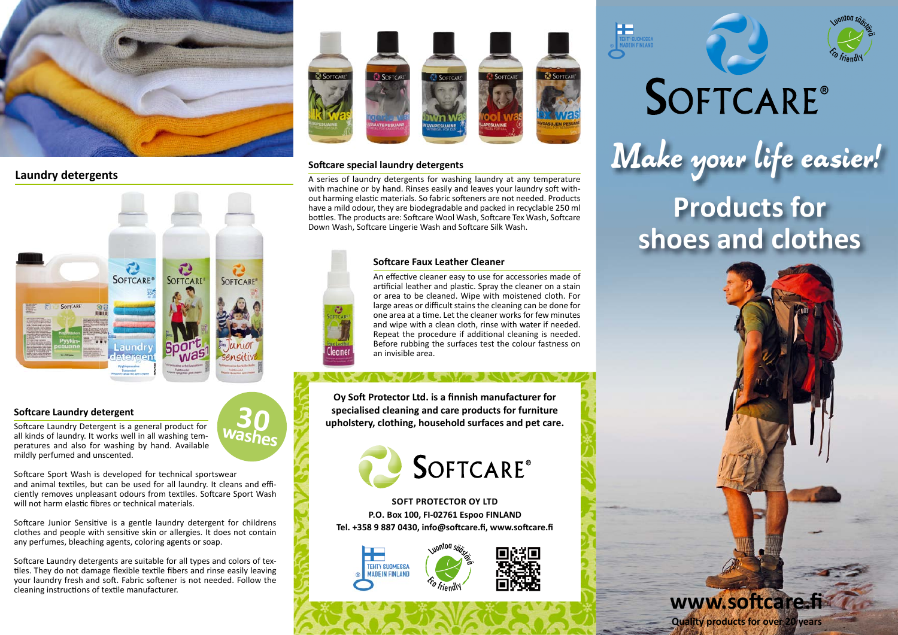

# **Laundry detergents**



# **Softcare Laundry detergent**

Softcare Laundry Detergent is a general product for all kinds of laundry. It works well in all washing temperatures and also for washing by hand. Available mildly perfumed and unscented.

Softcare Sport Wash is developed for technical sportswear and animal textiles, but can be used for all laundry. It cleans and efficiently removes unpleasant odours from textiles. Softcare Sport Wash will not harm elastic fibres or technical materials.

Softcare Junior Sensitive is a gentle laundry detergent for childrens clothes and people with sensitive skin or allergies. It does not contain any perfumes, bleaching agents, coloring agents or soap.

Softcare Laundry detergents are suitable for all types and colors of textiles. They do not damage flexible textile fibers and rinse easily leaving your laundry fresh and soft. Fabric softener is not needed. Follow the cleaning instructions of textile manufacturer.



# **Soft care special laundry detergents**

a

A series of laundry detergents for washing laundry at any temperature with machine or by hand. Rinses easily and leaves your laundry soft without harming elastic materials. So fabric softeners are not needed. Products have a mild odour, they are biodegradable and packed in recyclable 250 ml bottles. The products are: Softcare Wool Wash, Softcare Tex Wash, Softcare Down Wash, Softcare Lingerie Wash and Softcare Silk Wash.

#### **Soft care Faux Leather Cleaner**

An effective cleaner easy to use for accessories made of artificial leather and plastic. Spray the cleaner on a stain or area to be cleaned. Wipe with moistened cloth. For large areas or difficult stains the cleaning can be done for one area at a time. Let the cleaner works for few minutes and wipe with a clean cloth, rinse with water if needed. Repeat the procedure if additional cleaning is needed. Before rubbing the surfaces test the colour fastness on an invisible area.

FWT INVEIO

**Oy Soft Protector Ltd. is a finnish manufacturer for specialised cleaning and care products for furniture upholstery, clothing, household surfaces and pet care.** 



**SOFT PROTECTOR OY LTD P.O. Box 100, FI-02761 Espoo FINLAND** Tel. +358 9 887 0430, info@softcare.fi, www.softcare.fi







# SOFTCARE® Make your life easier! **Products for**



**Quality products for over 20 years**